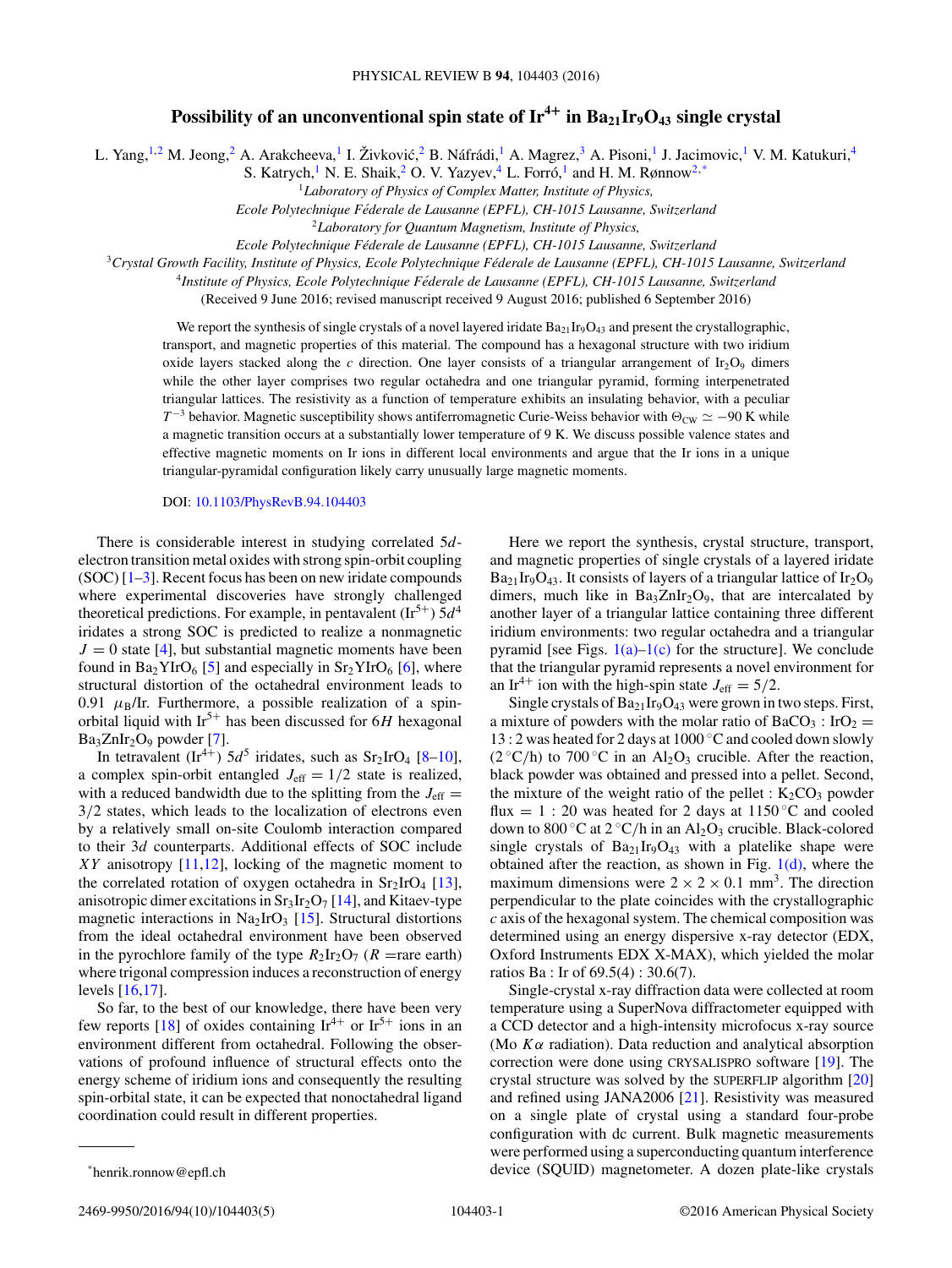## **Possibility of an unconventional spin state of**  $Ir^{4+}$  **in**  $Ba_{21}Ir_9O_{43}$  **single crystal**

L. Yang,<sup>1,2</sup> M. Jeong,<sup>2</sup> A. Arakcheeva,<sup>1</sup> I. Živković,<sup>2</sup> B. Náfrádi,<sup>1</sup> A. Magrez,<sup>3</sup> A. Pisoni,<sup>1</sup> J. Jacimovic,<sup>1</sup> V. M. Katukuri,<sup>4</sup>

S. Katrych,<sup>1</sup> N. E. Shaik,<sup>2</sup> O. V. Yazyev,<sup>4</sup> L. Forró,<sup>1</sup> and H. M. Rønnow<sup>2,\*</sup>

<sup>1</sup>*Laboratory of Physics of Complex Matter, Institute of Physics,*

*Ecole Polytechnique Federale de Lausanne (EPFL), CH-1015 Lausanne, Switzerland ´*

<sup>2</sup>*Laboratory for Quantum Magnetism, Institute of Physics,*

*Ecole Polytechnique Federale de Lausanne (EPFL), CH-1015 Lausanne, Switzerland ´*

<sup>3</sup>*Crystal Growth Facility, Institute of Physics, Ecole Polytechnique Federale de Lausanne (EPFL), CH-1015 Lausanne, Switzerland ´*

<sup>4</sup>*Institute of Physics, Ecole Polytechnique Federale de Lausanne (EPFL), CH-1015 Lausanne, Switzerland ´*

(Received 9 June 2016; revised manuscript received 9 August 2016; published 6 September 2016)

We report the synthesis of single crystals of a novel layered iridate  $Ba_{21}Ir_9O_{43}$  and present the crystallographic, transport, and magnetic properties of this material. The compound has a hexagonal structure with two iridium oxide layers stacked along the *c* direction. One layer consists of a triangular arrangement of Ir<sub>2</sub>O<sub>9</sub> dimers while the other layer comprises two regular octahedra and one triangular pyramid, forming interpenetrated triangular lattices. The resistivity as a function of temperature exhibits an insulating behavior, with a peculiar  $T^{-3}$  behavior. Magnetic susceptibility shows antiferromagnetic Curie-Weiss behavior with  $\Theta_{\text{CW}} \simeq -90$  K while a magnetic transition occurs at a substantially lower temperature of 9 K. We discuss possible valence states and effective magnetic moments on Ir ions in different local environments and argue that the Ir ions in a unique triangular-pyramidal configuration likely carry unusually large magnetic moments.

## DOI: [10.1103/PhysRevB.94.104403](http://dx.doi.org/10.1103/PhysRevB.94.104403)

There is considerable interest in studying correlated 5*d*electron transition metal oxides with strong spin-orbit coupling  $(SOC)$  [\[1–3\]](#page-3-0). Recent focus has been on new iridate compounds where experimental discoveries have strongly challenged theoretical predictions. For example, in pentavalent  $(\text{Ir}^{5+})$  5*d*<sup>4</sup> iridates a strong SOC is predicted to realize a nonmagnetic  $J = 0$  state [\[4\]](#page-3-0), but substantial magnetic moments have been found in  $Ba<sub>2</sub>YIrO<sub>6</sub>$  [\[5\]](#page-3-0) and especially in  $Sr<sub>2</sub>YIrO<sub>6</sub>$  [\[6\]](#page-3-0), where structural distortion of the octahedral environment leads to 0.91  $\mu_B/Ir$ . Furthermore, a possible realization of a spinorbital liquid with Ir<sup>5</sup><sup>+</sup> has been discussed for 6*H* hexagonal  $Ba<sub>3</sub>ZnIr<sub>2</sub>O<sub>9</sub>$  powder [\[7\]](#page-3-0).

In tetravalent  $(Ir^{4+})$  5*d*<sup>5</sup> iridates, such as Sr<sub>2</sub>IrO<sub>4</sub> [\[8–10\]](#page-3-0), a complex spin-orbit entangled  $J_{\text{eff}} = 1/2$  state is realized, with a reduced bandwidth due to the splitting from the  $J_{\text{eff}} =$ 3*/*2 states, which leads to the localization of electrons even by a relatively small on-site Coulomb interaction compared to their 3*d* counterparts. Additional effects of SOC include *XY* anisotropy [\[11,12\]](#page-3-0), locking of the magnetic moment to the correlated rotation of oxygen octahedra in  $Sr<sub>2</sub>IrO<sub>4</sub>$  [\[13\]](#page-4-0), anisotropic dimer excitations in  $Sr<sub>3</sub>Ir<sub>2</sub>O<sub>7</sub>$  [\[14\]](#page-4-0), and Kitaev-type magnetic interactions in Na<sub>2</sub>IrO<sub>3</sub> [\[15\]](#page-4-0). Structural distortions from the ideal octahedral environment have been observed in the pyrochlore family of the type  $R_2Ir_2O_7$  ( $R$  =rare earth) where trigonal compression induces a reconstruction of energy levels [\[16,17\]](#page-4-0).

So far, to the best of our knowledge, there have been very few reports [\[18\]](#page-4-0) of oxides containing  $Ir^{4+}$  or  $Ir^{5+}$  ions in an environment different from octahedral. Following the observations of profound influence of structural effects onto the energy scheme of iridium ions and consequently the resulting spin-orbital state, it can be expected that nonoctahedral ligand coordination could result in different properties.

Here we report the synthesis, crystal structure, transport, and magnetic properties of single crystals of a layered iridate  $Ba_{21}Ir_{9}O_{43}$ . It consists of layers of a triangular lattice of  $Ir_{2}O_{9}$ dimers, much like in  $Ba_3ZnIr_2O_9$ , that are intercalated by another layer of a triangular lattice containing three different iridium environments: two regular octahedra and a triangular pyramid [see Figs.  $1(a)-1(c)$  for the structure]. We conclude that the triangular pyramid represents a novel environment for an Ir<sup>4+</sup> ion with the high-spin state  $J_{\text{eff}} = 5/2$ .

Single crystals of  $Ba_{21}Ir_9O_{43}$  were grown in two steps. First, a mixture of powders with the molar ratio of  $BaCO_3$ : IrO<sub>2</sub> = 13 : 2 was heated for 2 days at 1000 ◦C and cooled down slowly  $(2 °C/h)$  to 700 °C in an Al<sub>2</sub>O<sub>3</sub> crucible. After the reaction, black powder was obtained and pressed into a pellet. Second, the mixture of the weight ratio of the pellet :  $K_2CO_3$  powder flux = 1 : 20 was heated for 2 days at 1150 °C and cooled down to 800 °C at 2 °C/h in an Al<sub>2</sub>O<sub>3</sub> crucible. Black-colored single crystals of  $Ba_{21}Ir_9O_{43}$  with a platelike shape were obtained after the reaction, as shown in Fig.  $1(d)$ , where the maximum dimensions were  $2 \times 2 \times 0.1$  mm<sup>3</sup>. The direction perpendicular to the plate coincides with the crystallographic *c* axis of the hexagonal system. The chemical composition was determined using an energy dispersive x-ray detector (EDX, Oxford Instruments EDX X-MAX), which yielded the molar ratios Ba : Ir of 69.5(4) : 30.6(7).

Single-crystal x-ray diffraction data were collected at room temperature using a SuperNova diffractometer equipped with a CCD detector and a high-intensity microfocus x-ray source (Mo *Kα* radiation). Data reduction and analytical absorption correction were done using CRYSALISPRO software [\[19\]](#page-4-0). The crystal structure was solved by the SUPERFLIP algorithm [\[20\]](#page-4-0) and refined using JANA2006 [\[21\]](#page-4-0). Resistivity was measured on a single plate of crystal using a standard four-probe configuration with dc current. Bulk magnetic measurements were performed using a superconducting quantum interference device (SQUID) magnetometer. A dozen plate-like crystals

2469-9950/2016/94(10)/104403(5) 104403-1 ©2016 American Physical Society

<sup>\*</sup>henrik.ronnow@epfl.ch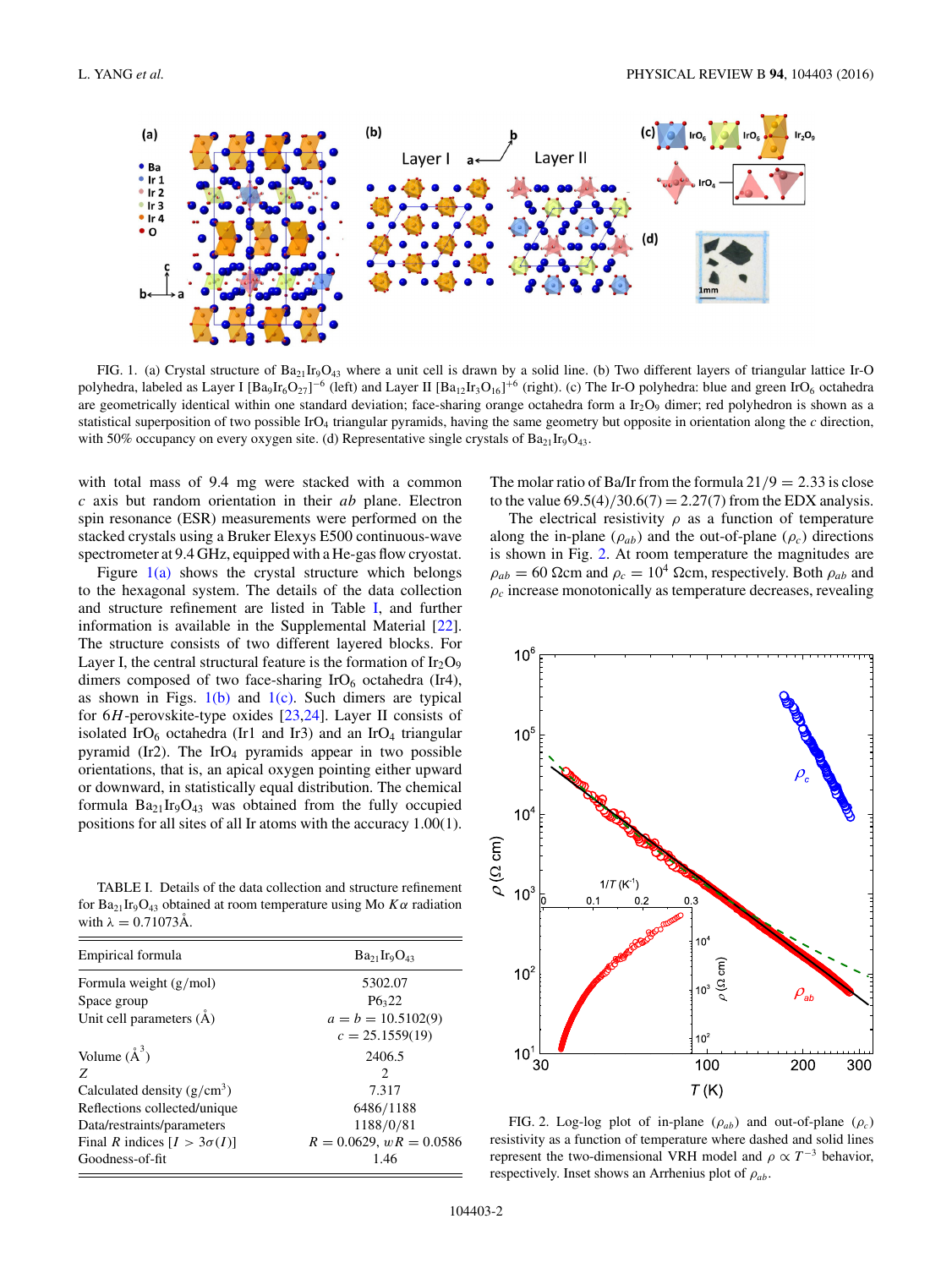<span id="page-1-0"></span>

FIG. 1. (a) Crystal structure of  $Ba_{21}Ir_9O_{43}$  where a unit cell is drawn by a solid line. (b) Two different layers of triangular lattice Ir-O polyhedra, labeled as Layer I  $[Ba_9Ir_6O_{27}]^{-6}$  (left) and Layer II  $[Ba_{12}Ir_3O_{16}]^{+6}$  (right). (c) The Ir-O polyhedra: blue and green IrO<sub>6</sub> octahedra are geometrically identical within one standard deviation; face-sharing orange octahedra form a  $Ir_2O_9$  dimer; red polyhedron is shown as a statistical superposition of two possible IrO<sub>4</sub> triangular pyramids, having the same geometry but opposite in orientation along the  $c$  direction, with 50% occupancy on every oxygen site. (d) Representative single crystals of  $Ba_{21}Ir_9O_{43}$ .

with total mass of 9.4 mg were stacked with a common *c* axis but random orientation in their *ab* plane. Electron spin resonance (ESR) measurements were performed on the stacked crystals using a Bruker Elexys E500 continuous-wave spectrometer at 9.4 GHz, equipped with a He-gas flow cryostat.

Figure  $1(a)$  shows the crystal structure which belongs to the hexagonal system. The details of the data collection and structure refinement are listed in Table I, and further information is available in the Supplemental Material [\[22\]](#page-4-0). The structure consists of two different layered blocks. For Layer I, the central structural feature is the formation of  $Ir_2O_9$ dimers composed of two face-sharing  $IrO<sub>6</sub>$  octahedra (Ir4), as shown in Figs.  $1(b)$  and  $1(c)$ . Such dimers are typical for 6*H*-perovskite-type oxides [\[23,24\]](#page-4-0). Layer II consists of isolated IrO<sub>6</sub> octahedra (Ir1 and Ir3) and an IrO<sub>4</sub> triangular pyramid (Ir2). The IrO<sub>4</sub> pyramids appear in two possible orientations, that is, an apical oxygen pointing either upward or downward, in statistically equal distribution. The chemical formula  $Ba_{21}Ir_9O_{43}$  was obtained from the fully occupied positions for all sites of all Ir atoms with the accuracy 1.00(1).

TABLE I. Details of the data collection and structure refinement for  $Ba_{21}Ir_9O_{43}$  obtained at room temperature using Mo  $K\alpha$  radiation with  $\lambda = 0.71073\text{\AA}$ .

| Empirical formula                  | $Ba_{21}Ir_9O_{43}$           |
|------------------------------------|-------------------------------|
| Formula weight $(g/mol)$           | 5302.07                       |
| Space group                        | P6,22                         |
| Unit cell parameters $(\dot{A})$   | $a = b = 10.5102(9)$          |
|                                    | $c = 25.1559(19)$             |
| Volume $(\AA^3)$                   | 2406.5                        |
| Z                                  | $\mathfrak{D}_{\mathfrak{p}}$ |
| Calculated density $(g/cm^3)$      | 7.317                         |
| Reflections collected/unique       | 6486/1188                     |
| Data/restraints/parameters         | 1188/0/81                     |
| Final R indices $[I > 3\sigma(I)]$ | $R = 0.0629$ , $wR = 0.0586$  |
| Goodness-of-fit                    | 1.46                          |
|                                    |                               |

The molar ratio of Ba/Ir from the formula  $21/9 = 2.33$  is close to the value  $69.5(4)/30.6(7) = 2.27(7)$  from the EDX analysis.

The electrical resistivity  $\rho$  as a function of temperature along the in-plane  $(\rho_{ab})$  and the out-of-plane  $(\rho_c)$  directions is shown in Fig. 2. At room temperature the magnitudes are  $\rho_{ab} = 60$  Ωcm and  $\rho_c = 10^4$  Ωcm, respectively. Both  $\rho_{ab}$  and  $\rho_c$  increase monotonically as temperature decreases, revealing



FIG. 2. Log-log plot of in-plane  $(\rho_{ab})$  and out-of-plane  $(\rho_c)$ resistivity as a function of temperature where dashed and solid lines represent the two-dimensional VRH model and  $\rho \propto T^{-3}$  behavior, respectively. Inset shows an Arrhenius plot of *ρab*.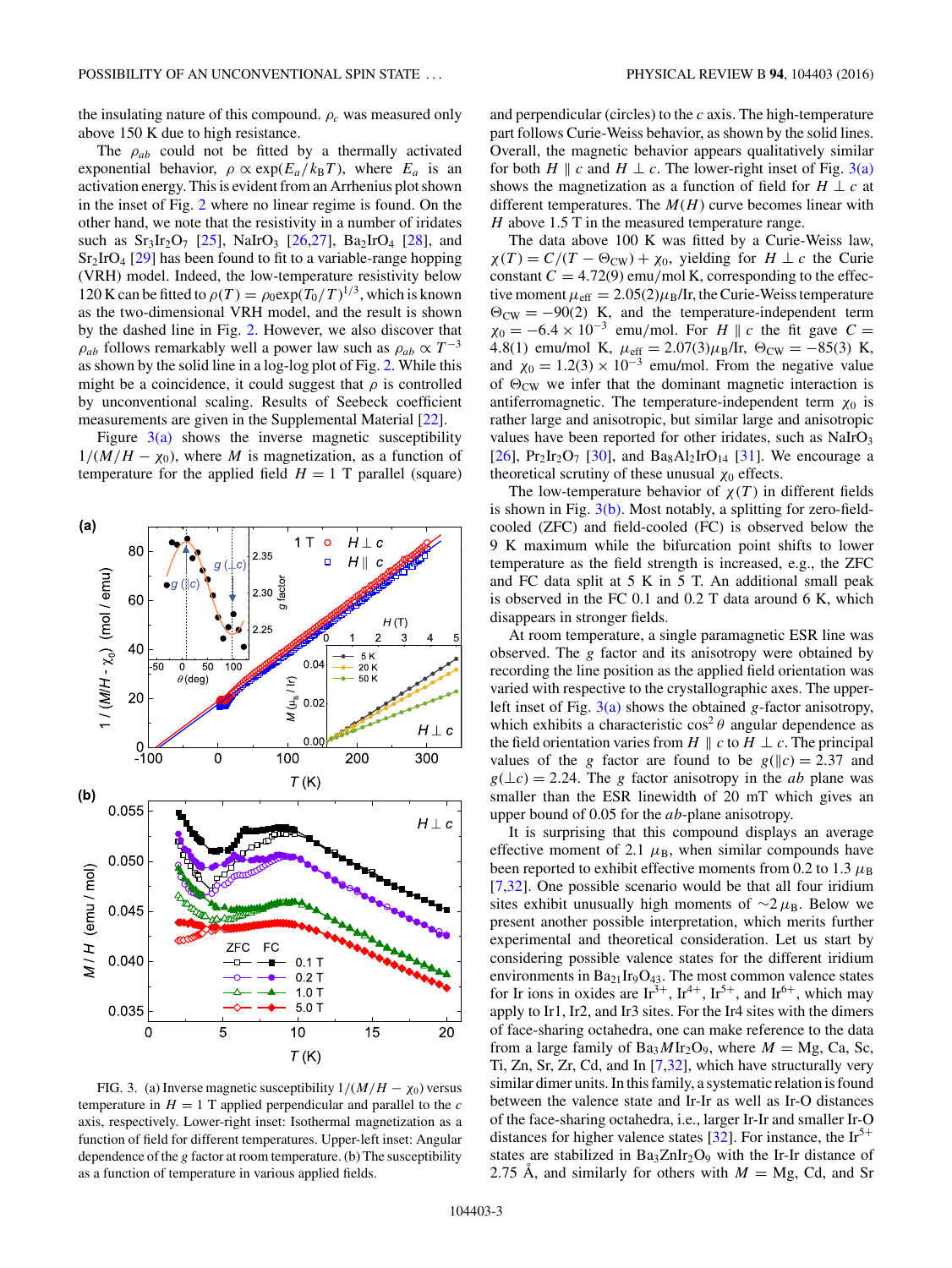the insulating nature of this compound.  $\rho_c$  was measured only above 150 K due to high resistance.

The  $\rho_{ab}$  could not be fitted by a thermally activated exponential behavior,  $\rho \propto \exp(E_a/k_B T)$ , where  $E_a$  is an activation energy. This is evident from an Arrhenius plot shown in the inset of Fig. [2](#page-1-0) where no linear regime is found. On the other hand, we note that the resistivity in a number of iridates such as  $Sr_3Ir_2O_7$  [\[25\]](#page-4-0), NaIrO<sub>3</sub> [\[26,27\]](#page-4-0), Ba<sub>2</sub>IrO<sub>4</sub> [\[28\]](#page-4-0), and  $Sr<sub>2</sub>IrO<sub>4</sub>$  [\[29\]](#page-4-0) has been found to fit to a variable-range hopping (VRH) model. Indeed, the low-temperature resistivity below 120 K can be fitted to  $\rho(T) = \rho_0 \exp(T_0/T)^{1/3}$ , which is known as the two-dimensional VRH model, and the result is shown by the dashed line in Fig. [2.](#page-1-0) However, we also discover that  $\rho_{ab}$  follows remarkably well a power law such as  $\rho_{ab} \propto T^{-3}$ as shown by the solid line in a log-log plot of Fig. [2.](#page-1-0) While this might be a coincidence, it could suggest that  $\rho$  is controlled by unconventional scaling. Results of Seebeck coefficient measurements are given in the Supplemental Material [\[22\]](#page-4-0).

Figure  $3(a)$  shows the inverse magnetic susceptibility  $1/(M/H - \chi_0)$ , where *M* is magnetization, as a function of temperature for the applied field  $H = 1$  T parallel (square)



FIG. 3. (a) Inverse magnetic susceptibility  $1/(M/H - \chi_0)$  versus temperature in  $H = 1$  T applied perpendicular and parallel to the  $c$ axis, respectively. Lower-right inset: Isothermal magnetization as a function of field for different temperatures. Upper-left inset: Angular dependence of the *g* factor at room temperature. (b) The susceptibility as a function of temperature in various applied fields.

and perpendicular (circles) to the *c* axis. The high-temperature part follows Curie-Weiss behavior, as shown by the solid lines. Overall, the magnetic behavior appears qualitatively similar for both *H*  $\parallel$  *c* and *H*  $\perp$  *c*. The lower-right inset of Fig. 3(a) shows the magnetization as a function of field for  $H \perp c$  at different temperatures. The *M*(*H*) curve becomes linear with *H* above 1.5 T in the measured temperature range.

The data above 100 K was fitted by a Curie-Weiss law,  $\chi(T) = C/(T - \Theta_{\text{CW}}) + \chi_0$ , yielding for *H* ⊥ *c* the Curie constant  $C = 4.72(9)$  emu/mol K, corresponding to the effective moment  $\mu_{\rm eff} = 2.05(2)\mu_{\rm B}/\text{Ir}$ , the Curie-Weiss temperature  $\Theta_{\text{CW}} = -90(2)$  K, and the temperature-independent term  $\chi_0 = -6.4 \times 10^{-3}$  emu/mol. For *H*  $\parallel$  *c* the fit gave *C* = 4.8(1) emu/mol K,  $\mu_{\text{eff}} = 2.07(3)\mu_{\text{B}}/\text{Ir}$ ,  $\Theta_{\text{CW}} = -85(3)$  K, and  $\chi_0 = 1.2(3) \times 10^{-3}$  emu/mol. From the negative value of  $\Theta_{\text{CW}}$  we infer that the dominant magnetic interaction is antiferromagnetic. The temperature-independent term  $\chi_0$  is rather large and anisotropic, but similar large and anisotropic values have been reported for other iridates, such as  $NaIrO<sub>3</sub>$ [\[26\]](#page-4-0),  $Pr_2Ir_2O_7$  [\[30\]](#page-4-0), and  $Ba_8Al_2IrO_{14}$  [\[31\]](#page-4-0). We encourage a theoretical scrutiny of these unusual  $\chi_0$  effects.

The low-temperature behavior of  $\chi(T)$  in different fields is shown in Fig. 3(b). Most notably, a splitting for zero-fieldcooled (ZFC) and field-cooled (FC) is observed below the 9 K maximum while the bifurcation point shifts to lower temperature as the field strength is increased, e.g., the ZFC and FC data split at 5 K in 5 T. An additional small peak is observed in the FC 0.1 and 0.2 T data around 6 K, which disappears in stronger fields.

At room temperature, a single paramagnetic ESR line was observed. The *g* factor and its anisotropy were obtained by recording the line position as the applied field orientation was varied with respective to the crystallographic axes. The upperleft inset of Fig. 3(a) shows the obtained *g*-factor anisotropy, which exhibits a characteristic  $\cos^2 \theta$  angular dependence as the field orientation varies from  $H \parallel c$  to  $H \perp c$ . The principal values of the *g* factor are found to be  $g(\parallel c) = 2.37$  and  $g(\perp c) = 2.24$ . The *g* factor anisotropy in the *ab* plane was smaller than the ESR linewidth of 20 mT which gives an upper bound of 0.05 for the *ab*-plane anisotropy.

It is surprising that this compound displays an average effective moment of 2.1  $\mu$ <sub>B</sub>, when similar compounds have been reported to exhibit effective moments from 0.2 to 1.3  $\mu$ <sub>B</sub> [\[7](#page-3-0)[,32\]](#page-4-0). One possible scenario would be that all four iridium sites exhibit unusually high moments of  $\sim$ 2 $\mu$ <sub>B</sub>. Below we present another possible interpretation, which merits further experimental and theoretical consideration. Let us start by considering possible valence states for the different iridium environments in  $Ba_{21}Ir_9O_{43}$ . The most common valence states for Ir ions in oxides are  $Ir^{3+}$ ,  $Ir^{4+}$ ,  $Ir^{5+}$ , and  $Ir^{6+}$ , which may apply to Ir1, Ir2, and Ir3 sites. For the Ir4 sites with the dimers of face-sharing octahedra, one can make reference to the data from a large family of  $Ba_3MIr_2O_9$ , where  $M = Mg$ , Ca, Sc, Ti, Zn, Sr, Zr, Cd, and In [\[7,](#page-3-0)[32\]](#page-4-0), which have structurally very similar dimer units. In this family, a systematic relation is found between the valence state and Ir-Ir as well as Ir-O distances of the face-sharing octahedra, i.e., larger Ir-Ir and smaller Ir-O distances for higher valence states [\[32\]](#page-4-0). For instance, the  $Ir<sup>5+</sup>$ states are stabilized in  $Ba<sub>3</sub>ZnIr<sub>2</sub>O<sub>9</sub>$  with the Ir-Ir distance of 2.75 Å, and similarly for others with  $M = Mg$ , Cd, and Sr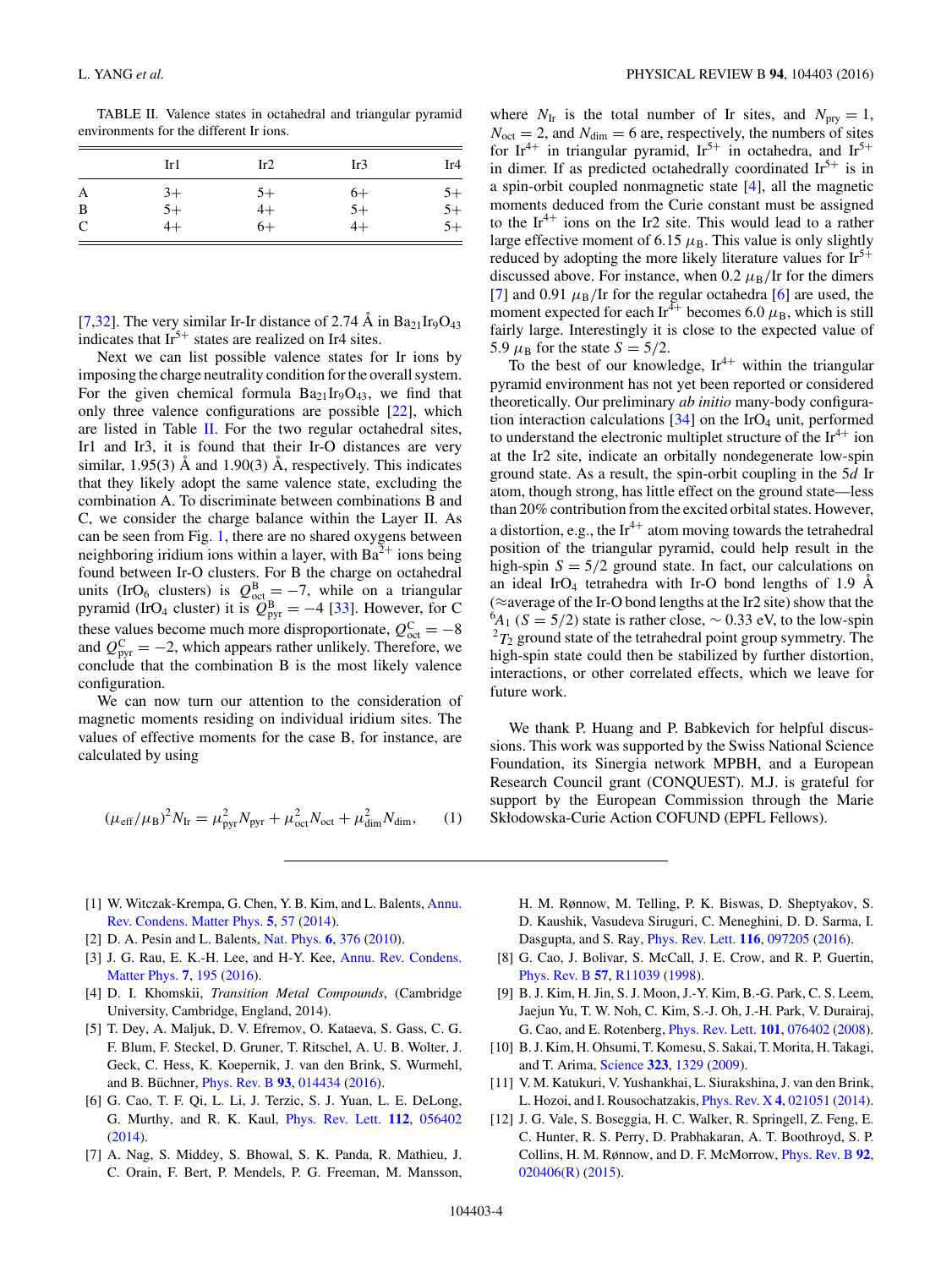<span id="page-3-0"></span>TABLE II. Valence states in octahedral and triangular pyramid environments for the different Ir ions.

|   | Ir1  | Ir2  | Ir3  | Ir4  |
|---|------|------|------|------|
| A | $3+$ | $5+$ | $6+$ | $5+$ |
| B | $5+$ | $4+$ | $5+$ | $5+$ |
| C | $4+$ | $6+$ | $4+$ | $5+$ |

[7[,32\]](#page-4-0). The very similar Ir-Ir distance of 2.74  $\AA$  in Ba<sub>21</sub>Ir<sub>9</sub>O<sub>43</sub> indicates that  $Ir^{5+}$  states are realized on Ir4 sites.

Next we can list possible valence states for Ir ions by imposing the charge neutrality condition for the overall system. For the given chemical formula  $Ba_{21}Ir_9O_{43}$ , we find that only three valence configurations are possible [\[22\]](#page-4-0), which are listed in Table II. For the two regular octahedral sites, Ir1 and Ir3, it is found that their Ir-O distances are very similar, 1.95(3)  $\AA$  and 1.90(3)  $\AA$ , respectively. This indicates that they likely adopt the same valence state, excluding the combination A. To discriminate between combinations B and C, we consider the charge balance within the Layer II. As can be seen from Fig. [1,](#page-1-0) there are no shared oxygens between neighboring iridium ions within a layer, with  $Ba^{2+}$  ions being found between Ir-O clusters. For B the charge on octahedral units (IrO<sub>6</sub> clusters) is  $Q_{\text{oct}}^{\text{B}} = -7$ , while on a triangular pyramid (IrO<sub>4</sub> cluster) it is  $\hat{Q}_{\text{pyr}}^{\text{B}} = -4$  [\[33\]](#page-4-0). However, for C these values become much more disproportionate,  $Q_{\text{oct}}^{\text{C}} = -8$ and  $Q_{\text{pyr}}^{\text{C}} = -2$ , which appears rather unlikely. Therefore, we conclude that the combination B is the most likely valence configuration.

We can now turn our attention to the consideration of magnetic moments residing on individual iridium sites. The values of effective moments for the case B, for instance, are calculated by using

$$
(\mu_{\rm eff}/\mu_{\rm B})^2 N_{\rm Ir} = \mu_{\rm pyr}^2 N_{\rm pyr} + \mu_{\rm oct}^2 N_{\rm oct} + \mu_{\rm dim}^2 N_{\rm dim},\qquad(1)
$$

- [1] [W. Witczak-Krempa, G. Chen, Y. B. Kim, and L. Balents,](http://dx.doi.org/10.1146/annurev-conmatphys-020911-125138) Annu. Rev. Condens. Matter Phys. **[5](http://dx.doi.org/10.1146/annurev-conmatphys-020911-125138)**, [57](http://dx.doi.org/10.1146/annurev-conmatphys-020911-125138) [\(2014\)](http://dx.doi.org/10.1146/annurev-conmatphys-020911-125138).
- [2] D. A. Pesin and L. Balents, [Nat. Phys.](http://dx.doi.org/10.1038/nphys1606) **[6](http://dx.doi.org/10.1038/nphys1606)**, [376](http://dx.doi.org/10.1038/nphys1606) [\(2010\)](http://dx.doi.org/10.1038/nphys1606).
- [3] [J. G. Rau, E. K.-H. Lee, and H-Y. Kee,](http://dx.doi.org/10.1146/annurev-conmatphys-031115-011319) Annu. Rev. Condens. Matter Phys. **[7](http://dx.doi.org/10.1146/annurev-conmatphys-031115-011319)**, [195](http://dx.doi.org/10.1146/annurev-conmatphys-031115-011319) [\(2016\)](http://dx.doi.org/10.1146/annurev-conmatphys-031115-011319).
- [4] D. I. Khomskii, *Transition Metal Compounds*, (Cambridge University, Cambridge, England, 2014).
- [5] T. Dey, A. Maljuk, D. V. Efremov, O. Kataeva, S. Gass, C. G. F. Blum, F. Steckel, D. Gruner, T. Ritschel, A. U. B. Wolter, J. Geck, C. Hess, K. Koepernik, J. van den Brink, S. Wurmehl, and B. Büchner, *[Phys. Rev. B](http://dx.doi.org/10.1103/PhysRevB.93.014434)* [93](http://dx.doi.org/10.1103/PhysRevB.93.014434), [014434](http://dx.doi.org/10.1103/PhysRevB.93.014434) [\(2016\)](http://dx.doi.org/10.1103/PhysRevB.93.014434).
- [6] G. Cao, T. F. Qi, L. Li, J. Terzic, S. J. Yuan, L. E. DeLong, G. Murthy, and R. K. Kaul, [Phys. Rev. Lett.](http://dx.doi.org/10.1103/PhysRevLett.112.056402) **[112](http://dx.doi.org/10.1103/PhysRevLett.112.056402)**, [056402](http://dx.doi.org/10.1103/PhysRevLett.112.056402) [\(2014\)](http://dx.doi.org/10.1103/PhysRevLett.112.056402).
- [7] A. Nag, S. Middey, S. Bhowal, S. K. Panda, R. Mathieu, J. C. Orain, F. Bert, P. Mendels, P. G. Freeman, M. Mansson,

where  $N_{\text{Ir}}$  is the total number of Ir sites, and  $N_{\text{pry}} = 1$ ,  $N<sub>oct</sub> = 2$ , and  $N<sub>dim</sub> = 6$  are, respectively, the numbers of sites for Ir<sup>4+</sup> in triangular pyramid, Ir<sup>5+</sup> in octahedra, and Ir<sup>5+</sup> in dimer. If as predicted octahedrally coordinated  $Ir<sup>5+</sup>$  is in a spin-orbit coupled nonmagnetic state [4], all the magnetic moments deduced from the Curie constant must be assigned to the  $Ir^{4+}$  ions on the Ir2 site. This would lead to a rather large effective moment of 6.15  $\mu$ <sub>B</sub>. This value is only slightly reduced by adopting the more likely literature values for  $Ir^{5+}$ discussed above. For instance, when 0.2  $\mu$ <sub>B</sub>/Ir for the dimers [7] and 0.91  $\mu_B$ /Ir for the regular octahedra [6] are used, the moment expected for each Ir<sup>4+</sup> becomes 6.0  $\mu$ <sub>B</sub>, which is still fairly large. Interestingly it is close to the expected value of 5.9  $\mu$ <sub>B</sub> for the state *S* = 5/2.

To the best of our knowledge,  $Ir^{4+}$  within the triangular pyramid environment has not yet been reported or considered theoretically. Our preliminary *ab initio* many-body configuration interaction calculations  $[34]$  on the IrO<sub>4</sub> unit, performed to understand the electronic multiplet structure of the  $Ir^{4+}$  ion at the Ir2 site, indicate an orbitally nondegenerate low-spin ground state. As a result, the spin-orbit coupling in the 5*d* Ir atom, though strong, has little effect on the ground state—less than 20% contribution from the excited orbital states. However, a distortion, e.g., the  $Ir^{4+}$  atom moving towards the tetrahedral position of the triangular pyramid, could help result in the high-spin  $S = 5/2$  ground state. In fact, our calculations on an ideal IrO<sub>4</sub> tetrahedra with Ir-O bond lengths of 1.9  $\AA$ (≈average of the Ir-O bond lengths at the Ir2 site) show that the 6 *A*<sup>1</sup> (*S* = 5*/*2) state is rather close, ∼ 0.33 eV, to the low-spin  ${}^{2}T_{2}$  ground state of the tetrahedral point group symmetry. The high-spin state could then be stabilized by further distortion, interactions, or other correlated effects, which we leave for future work.

We thank P. Huang and P. Babkevich for helpful discussions. This work was supported by the Swiss National Science Foundation, its Sinergia network MPBH, and a European Research Council grant (CONQUEST). M.J. is grateful for support by the European Commission through the Marie Skłodowska-Curie Action COFUND (EPFL Fellows).

H. M. Rønnow, M. Telling, P. K. Biswas, D. Sheptyakov, S. D. Kaushik, Vasudeva Siruguri, C. Meneghini, D. D. Sarma, I. Dasgupta, and S. Ray, [Phys. Rev. Lett.](http://dx.doi.org/10.1103/PhysRevLett.116.097205) **[116](http://dx.doi.org/10.1103/PhysRevLett.116.097205)**, [097205](http://dx.doi.org/10.1103/PhysRevLett.116.097205) [\(2016\)](http://dx.doi.org/10.1103/PhysRevLett.116.097205).

- [8] G. Cao, J. Bolivar, S. McCall, J. E. Crow, and R. P. Guertin, [Phys. Rev. B](http://dx.doi.org/10.1103/PhysRevB.57.R11039) **[57](http://dx.doi.org/10.1103/PhysRevB.57.R11039)**, [R11039](http://dx.doi.org/10.1103/PhysRevB.57.R11039) [\(1998\)](http://dx.doi.org/10.1103/PhysRevB.57.R11039).
- [9] B. J. Kim, H. Jin, S. J. Moon, J.-Y. Kim, B.-G. Park, C. S. Leem, Jaejun Yu, T. W. Noh, C. Kim, S.-J. Oh, J.-H. Park, V. Durairaj, G. Cao, and E. Rotenberg, [Phys. Rev. Lett.](http://dx.doi.org/10.1103/PhysRevLett.101.076402) **[101](http://dx.doi.org/10.1103/PhysRevLett.101.076402)**, [076402](http://dx.doi.org/10.1103/PhysRevLett.101.076402) [\(2008\)](http://dx.doi.org/10.1103/PhysRevLett.101.076402).
- [10] B. J. Kim, H. Ohsumi, T. Komesu, S. Sakai, T. Morita, H. Takagi, and T. Arima, [Science](http://dx.doi.org/10.1126/science.1167106) **[323](http://dx.doi.org/10.1126/science.1167106)**, [1329](http://dx.doi.org/10.1126/science.1167106) [\(2009\)](http://dx.doi.org/10.1126/science.1167106).
- [11] V. M. Katukuri, V. Yushankhai, L. Siurakshina, J. van den Brink, L. Hozoi, and I. Rousochatzakis, [Phys. Rev. X](http://dx.doi.org/10.1103/PhysRevX.4.021051) **[4](http://dx.doi.org/10.1103/PhysRevX.4.021051)**, [021051](http://dx.doi.org/10.1103/PhysRevX.4.021051) [\(2014\)](http://dx.doi.org/10.1103/PhysRevX.4.021051).
- [12] J. G. Vale, S. Boseggia, H. C. Walker, R. Springell, Z. Feng, E. C. Hunter, R. S. Perry, D. Prabhakaran, A. T. Boothroyd, S. P. Collins, H. M. Rønnow, and D. F. McMorrow, [Phys. Rev. B](http://dx.doi.org/10.1103/PhysRevB.92.020406) **[92](http://dx.doi.org/10.1103/PhysRevB.92.020406)**, [020406\(R\)](http://dx.doi.org/10.1103/PhysRevB.92.020406) [\(2015\)](http://dx.doi.org/10.1103/PhysRevB.92.020406).